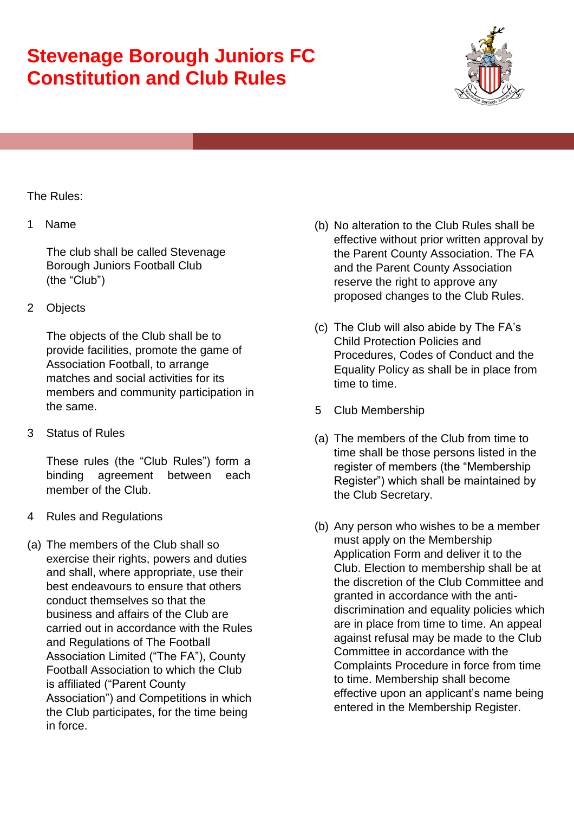

#### The Rules:

#### 1 Name

The club shall be called Stevenage Borough Juniors Football Club (the "Club")

2 Objects

The objects of the Club shall be to provide facilities, promote the game of Association Football, to arrange matches and social activities for its members and community participation in the same.

3 Status of Rules

These rules (the "Club Rules") form a binding agreement between each member of the Club.

- 4 Rules and Regulations
- (a) The members of the Club shall so exercise their rights, powers and duties and shall, where appropriate, use their best endeavours to ensure that others conduct themselves so that the business and affairs of the Club are carried out in accordance with the Rules and Regulations of The Football Association Limited ("The FA"), County Football Association to which the Club is affiliated ("Parent County Association") and Competitions in which the Club participates, for the time being in force.
- (b) No alteration to the Club Rules shall be effective without prior written approval by the Parent County Association. The FA and the Parent County Association reserve the right to approve any proposed changes to the Club Rules.
- (c) The Club will also abide by The FA's Child Protection Policies and Procedures, Codes of Conduct and the Equality Policy as shall be in place from time to time.
- 5 Club Membership
- (a) The members of the Club from time to time shall be those persons listed in the register of members (the "Membership Register") which shall be maintained by the Club Secretary.
- (b) Any person who wishes to be a member must apply on the Membership Application Form and deliver it to the Club. Election to membership shall be at the discretion of the Club Committee and granted in accordance with the antidiscrimination and equality policies which are in place from time to time. An appeal against refusal may be made to the Club Committee in accordance with the Complaints Procedure in force from time to time. Membership shall become effective upon an applicant's name being entered in the Membership Register.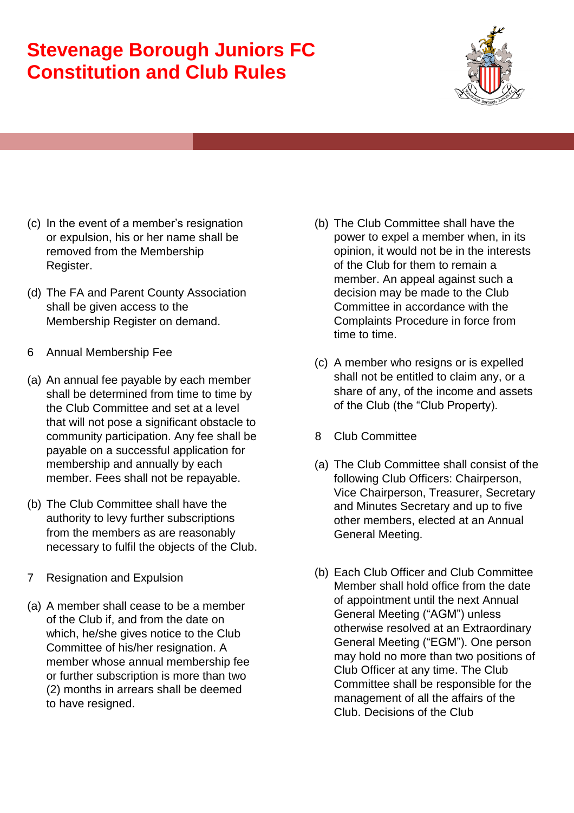

- (c) In the event of a member's resignation or expulsion, his or her name shall be removed from the Membership Register.
- (d) The FA and Parent County Association shall be given access to the Membership Register on demand.
- 6 Annual Membership Fee
- (a) An annual fee payable by each member shall be determined from time to time by the Club Committee and set at a level that will not pose a significant obstacle to community participation. Any fee shall be payable on a successful application for membership and annually by each member. Fees shall not be repayable.
- (b) The Club Committee shall have the authority to levy further subscriptions from the members as are reasonably necessary to fulfil the objects of the Club.
- 7 Resignation and Expulsion
- (a) A member shall cease to be a member of the Club if, and from the date on which, he/she gives notice to the Club Committee of his/her resignation. A member whose annual membership fee or further subscription is more than two (2) months in arrears shall be deemed to have resigned.
- (b) The Club Committee shall have the power to expel a member when, in its opinion, it would not be in the interests of the Club for them to remain a member. An appeal against such a decision may be made to the Club Committee in accordance with the Complaints Procedure in force from time to time.
- (c) A member who resigns or is expelled shall not be entitled to claim any, or a share of any, of the income and assets of the Club (the "Club Property).
- 8 Club Committee
- (a) The Club Committee shall consist of the following Club Officers: Chairperson, Vice Chairperson, Treasurer, Secretary and Minutes Secretary and up to five other members, elected at an Annual General Meeting.
- (b) Each Club Officer and Club Committee Member shall hold office from the date of appointment until the next Annual General Meeting ("AGM") unless otherwise resolved at an Extraordinary General Meeting ("EGM"). One person may hold no more than two positions of Club Officer at any time. The Club Committee shall be responsible for the management of all the affairs of the Club. Decisions of the Club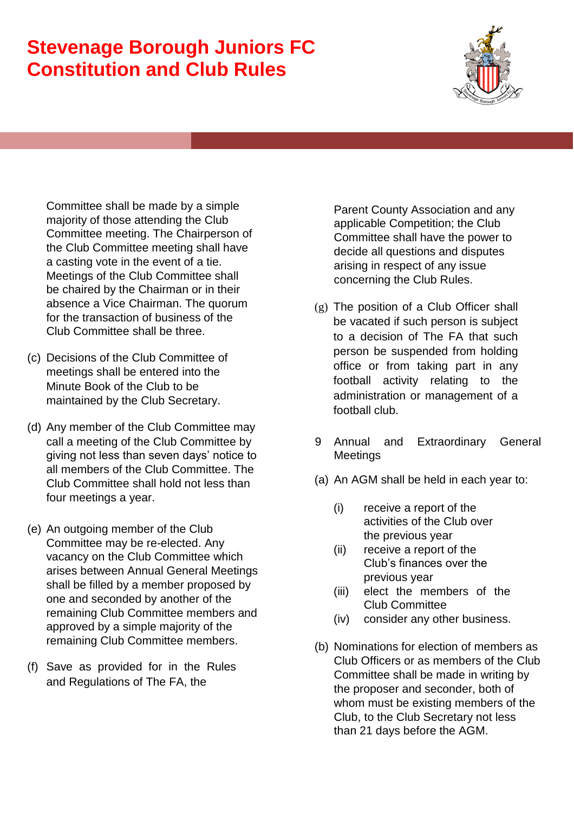

Committee shall be made by a simple majority of those attending the Club Committee meeting. The Chairperson of the Club Committee meeting shall have a casting vote in the event of a tie. Meetings of the Club Committee shall be chaired by the Chairman or in their absence a Vice Chairman. The quorum for the transaction of business of the Club Committee shall be three.

- (c) Decisions of the Club Committee of meetings shall be entered into the Minute Book of the Club to be maintained by the Club Secretary.
- (d) Any member of the Club Committee may call a meeting of the Club Committee by giving not less than seven days' notice to all members of the Club Committee. The Club Committee shall hold not less than four meetings a year.
- (e) An outgoing member of the Club Committee may be re-elected. Any vacancy on the Club Committee which arises between Annual General Meetings shall be filled by a member proposed by one and seconded by another of the remaining Club Committee members and approved by a simple majority of the remaining Club Committee members.
- (f) Save as provided for in the Rules and Regulations of The FA, the

Parent County Association and any applicable Competition; the Club Committee shall have the power to decide all questions and disputes arising in respect of any issue concerning the Club Rules.

- (g) The position of a Club Officer shall be vacated if such person is subject to a decision of The FA that such person be suspended from holding office or from taking part in any football activity relating to the administration or management of a football club.
- 9 Annual and Extraordinary General **Meetings**
- (a) An AGM shall be held in each year to:
	- (i) receive a report of the activities of the Club over the previous year
	- (ii) receive a report of the Club's finances over the previous year
	- (iii) elect the members of the Club Committee
	- (iv) consider any other business.
- (b) Nominations for election of members as Club Officers or as members of the Club Committee shall be made in writing by the proposer and seconder, both of whom must be existing members of the Club, to the Club Secretary not less than 21 days before the AGM.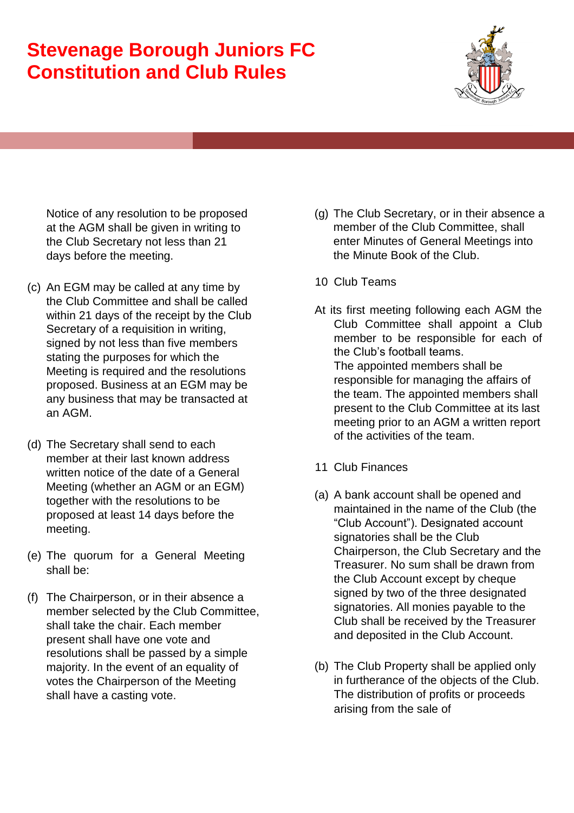

Notice of any resolution to be proposed at the AGM shall be given in writing to the Club Secretary not less than 21 days before the meeting.

- (c) An EGM may be called at any time by the Club Committee and shall be called within 21 days of the receipt by the Club Secretary of a requisition in writing, signed by not less than five members stating the purposes for which the Meeting is required and the resolutions proposed. Business at an EGM may be any business that may be transacted at an AGM.
- (d) The Secretary shall send to each member at their last known address written notice of the date of a General Meeting (whether an AGM or an EGM) together with the resolutions to be proposed at least 14 days before the meeting.
- (e) The quorum for a General Meeting shall be:
- (f) The Chairperson, or in their absence a member selected by the Club Committee, shall take the chair. Each member present shall have one vote and resolutions shall be passed by a simple majority. In the event of an equality of votes the Chairperson of the Meeting shall have a casting vote.
- (g) The Club Secretary, or in their absence a member of the Club Committee, shall enter Minutes of General Meetings into the Minute Book of the Club.
- 10 Club Teams
- At its first meeting following each AGM the Club Committee shall appoint a Club member to be responsible for each of the Club's football teams. The appointed members shall be responsible for managing the affairs of the team. The appointed members shall present to the Club Committee at its last meeting prior to an AGM a written report of the activities of the team.
- 11 Club Finances
- (a) A bank account shall be opened and maintained in the name of the Club (the "Club Account"). Designated account signatories shall be the Club Chairperson, the Club Secretary and the Treasurer. No sum shall be drawn from the Club Account except by cheque signed by two of the three designated signatories. All monies payable to the Club shall be received by the Treasurer and deposited in the Club Account.
- (b) The Club Property shall be applied only in furtherance of the objects of the Club. The distribution of profits or proceeds arising from the sale of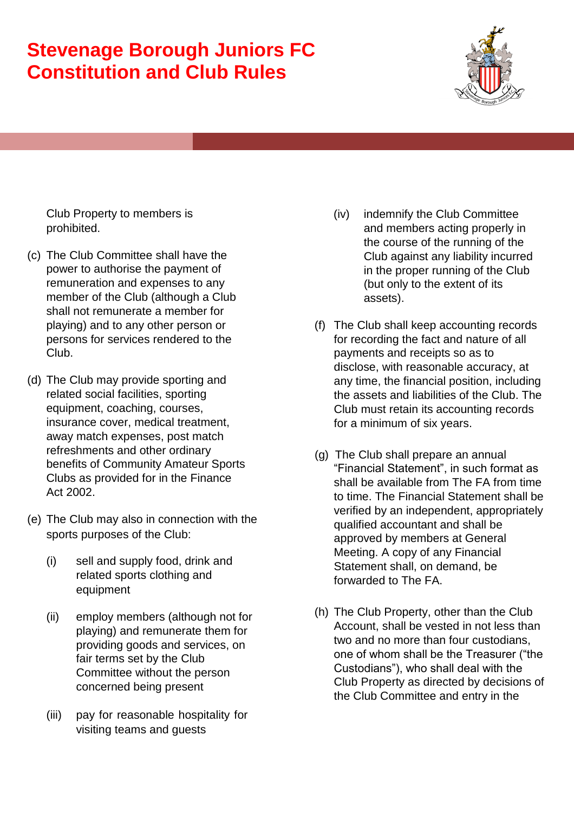

Club Property to members is prohibited.

- (c) The Club Committee shall have the power to authorise the payment of remuneration and expenses to any member of the Club (although a Club shall not remunerate a member for playing) and to any other person or persons for services rendered to the Club.
- (d) The Club may provide sporting and related social facilities, sporting equipment, coaching, courses, insurance cover, medical treatment, away match expenses, post match refreshments and other ordinary benefits of Community Amateur Sports Clubs as provided for in the Finance Act 2002.
- (e) The Club may also in connection with the sports purposes of the Club:
	- (i) sell and supply food, drink and related sports clothing and equipment
	- (ii) employ members (although not for playing) and remunerate them for providing goods and services, on fair terms set by the Club Committee without the person concerned being present
	- (iii) pay for reasonable hospitality for visiting teams and guests
- (iv) indemnify the Club Committee and members acting properly in the course of the running of the Club against any liability incurred in the proper running of the Club (but only to the extent of its assets).
- (f) The Club shall keep accounting records for recording the fact and nature of all payments and receipts so as to disclose, with reasonable accuracy, at any time, the financial position, including the assets and liabilities of the Club. The Club must retain its accounting records for a minimum of six years.
- (g) The Club shall prepare an annual "Financial Statement", in such format as shall be available from The FA from time to time. The Financial Statement shall be verified by an independent, appropriately qualified accountant and shall be approved by members at General Meeting. A copy of any Financial Statement shall, on demand, be forwarded to The FA.
- (h) The Club Property, other than the Club Account, shall be vested in not less than two and no more than four custodians, one of whom shall be the Treasurer ("the Custodians"), who shall deal with the Club Property as directed by decisions of the Club Committee and entry in the